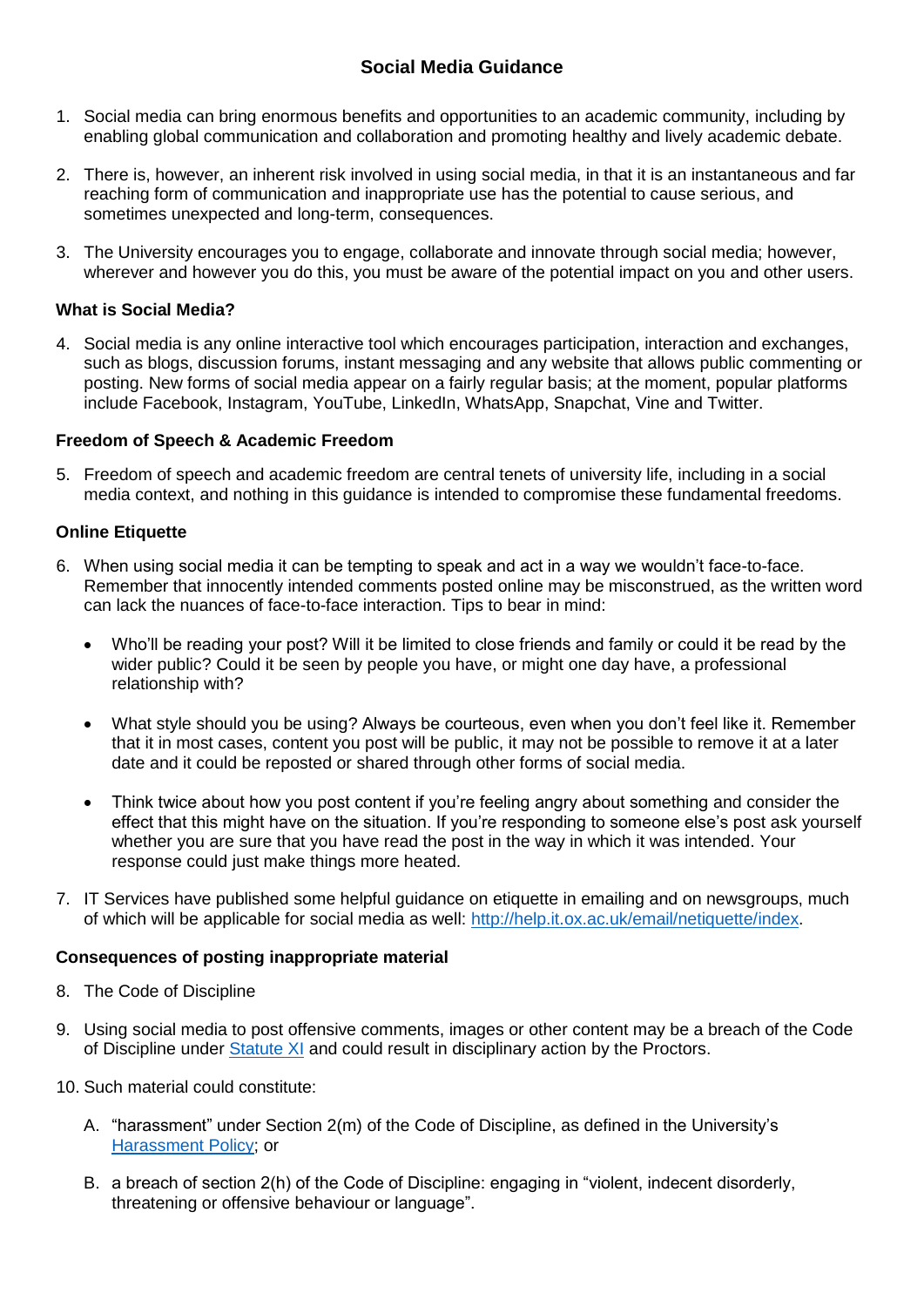# **Social Media Guidance**

- 1. Social media can bring enormous benefits and opportunities to an academic community, including by enabling global communication and collaboration and promoting healthy and lively academic debate.
- 2. There is, however, an inherent risk involved in using social media, in that it is an instantaneous and far reaching form of communication and inappropriate use has the potential to cause serious, and sometimes unexpected and long-term, consequences.
- 3. The University encourages you to engage, collaborate and innovate through social media; however, wherever and however you do this, you must be aware of the potential impact on you and other users.

### **What is Social Media?**

4. Social media is any online interactive tool which encourages participation, interaction and exchanges, such as blogs, discussion forums, instant messaging and any website that allows public commenting or posting. New forms of social media appear on a fairly regular basis; at the moment, popular platforms include Facebook, Instagram, YouTube, LinkedIn, WhatsApp, Snapchat, Vine and Twitter.

### **Freedom of Speech & Academic Freedom**

5. Freedom of speech and academic freedom are central tenets of university life, including in a social media context, and nothing in this guidance is intended to compromise these fundamental freedoms.

### **Online Etiquette**

- 6. When using social media it can be tempting to speak and act in a way we wouldn't face-to-face. Remember that innocently intended comments posted online may be misconstrued, as the written word can lack the nuances of face-to-face interaction. Tips to bear in mind:
	- Who'll be reading your post? Will it be limited to close friends and family or could it be read by the wider public? Could it be seen by people you have, or might one day have, a professional relationship with?
	- What style should you be using? Always be courteous, even when you don't feel like it. Remember that it in most cases, content you post will be public, it may not be possible to remove it at a later date and it could be reposted or shared through other forms of social media.
	- Think twice about how you post content if you're feeling angry about something and consider the effect that this might have on the situation. If you're responding to someone else's post ask yourself whether you are sure that you have read the post in the way in which it was intended. Your response could just make things more heated.
- 7. IT Services have published some helpful guidance on etiquette in emailing and on newsgroups, much of which will be applicable for social media as well: [http://help.it.ox.ac.uk/email/netiquette/index.](http://help.it.ox.ac.uk/email/netiquette/index)

### **Consequences of posting inappropriate material**

- 8. The Code of Discipline
- 9. Using social media to post offensive comments, images or other content may be a breach of the Code of Discipline under [Statute XI](http://www.admin.ox.ac.uk/statutes/352-051a.shtml) and could result in disciplinary action by the Proctors.
- 10. Such material could constitute:
	- A. "harassment" under Section 2(m) of the Code of Discipline, as defined in the University's [Harassment Policy;](http://www.admin.ox.ac.uk/media/global/wwwadminoxacuk/localsites/equalityanddiversity/documents/harassment/Harassment_Policy_and_Procedure_MT14_Final.pdf) or
	- B. a breach of section 2(h) of the Code of Discipline: engaging in "violent, indecent disorderly, threatening or offensive behaviour or language".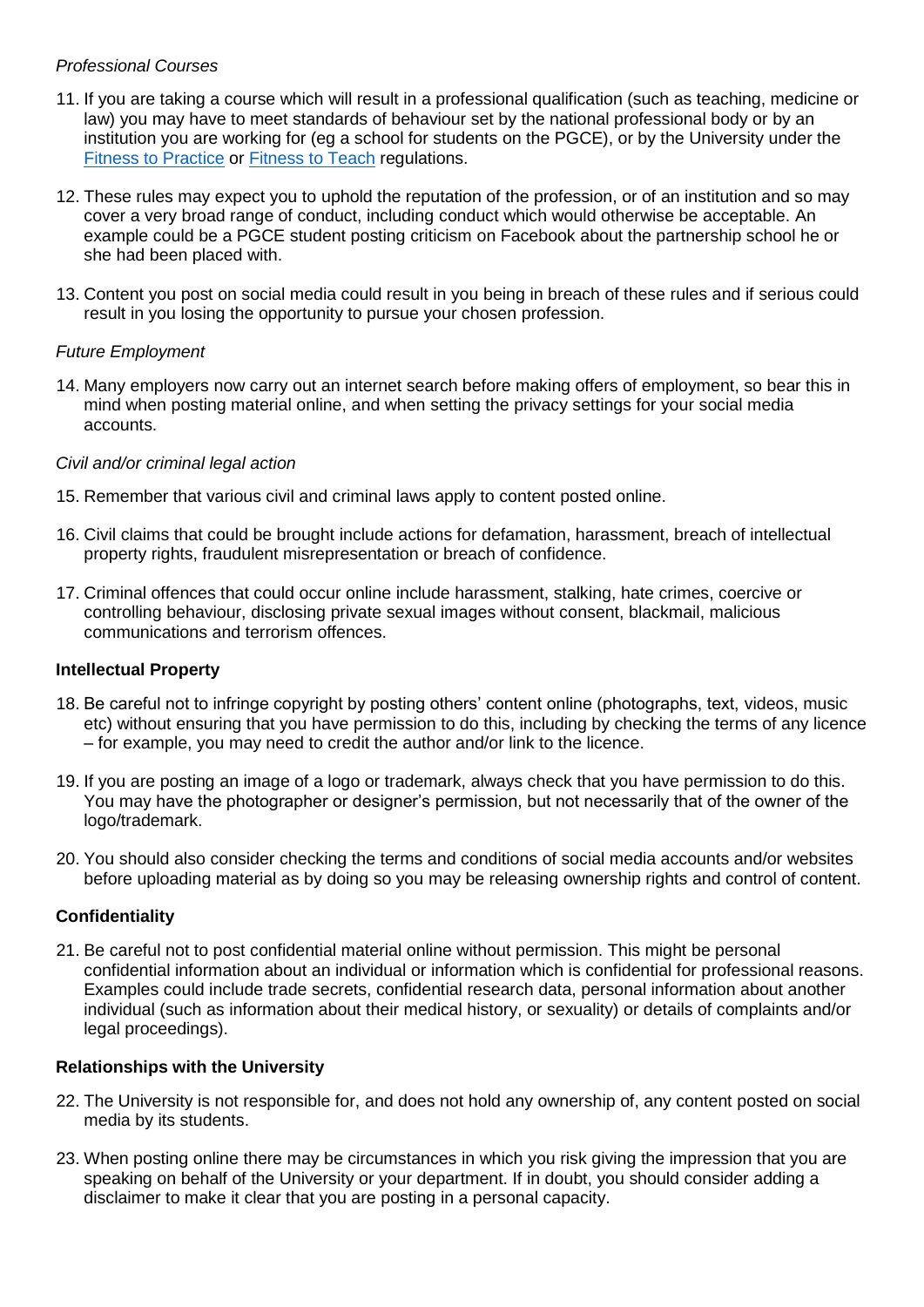### *Professional Courses*

- 11. If you are taking a course which will result in a professional qualification (such as teaching, medicine or law) you may have to meet standards of behaviour set by the national professional body or by an institution you are working for (eg a school for students on the PGCE), or by the University under the [Fitness to Practice](http://www.admin.ox.ac.uk/statutes/regulations/110-056.shtml) or [Fitness to Teach](http://www.admin.ox.ac.uk/statutes/regulations/111-056.shtml) regulations.
- 12. These rules may expect you to uphold the reputation of the profession, or of an institution and so may cover a very broad range of conduct, including conduct which would otherwise be acceptable. An example could be a PGCE student posting criticism on Facebook about the partnership school he or she had been placed with.
- 13. Content you post on social media could result in you being in breach of these rules and if serious could result in you losing the opportunity to pursue your chosen profession.

### *Future Employment*

14. Many employers now carry out an internet search before making offers of employment, so bear this in mind when posting material online, and when setting the privacy settings for your social media accounts.

### *Civil and/or criminal legal action*

- 15. Remember that various civil and criminal laws apply to content posted online.
- 16. Civil claims that could be brought include actions for defamation, harassment, breach of intellectual property rights, fraudulent misrepresentation or breach of confidence.
- 17. Criminal offences that could occur online include harassment, stalking, hate crimes, coercive or controlling behaviour, disclosing private sexual images without consent, blackmail, malicious communications and terrorism offences.

### **Intellectual Property**

- 18. Be careful not to infringe copyright by posting others' content online (photographs, text, videos, music etc) without ensuring that you have permission to do this, including by checking the terms of any licence – for example, you may need to credit the author and/or link to the licence.
- 19. If you are posting an image of a logo or trademark, always check that you have permission to do this. You may have the photographer or designer's permission, but not necessarily that of the owner of the logo/trademark.
- 20. You should also consider checking the terms and conditions of social media accounts and/or websites before uploading material as by doing so you may be releasing ownership rights and control of content.

## **Confidentiality**

21. Be careful not to post confidential material online without permission. This might be personal confidential information about an individual or information which is confidential for professional reasons. Examples could include trade secrets, confidential research data, personal information about another individual (such as information about their medical history, or sexuality) or details of complaints and/or legal proceedings).

### **Relationships with the University**

- 22. The University is not responsible for, and does not hold any ownership of, any content posted on social media by its students.
- 23. When posting online there may be circumstances in which you risk giving the impression that you are speaking on behalf of the University or your department. If in doubt, you should consider adding a disclaimer to make it clear that you are posting in a personal capacity.